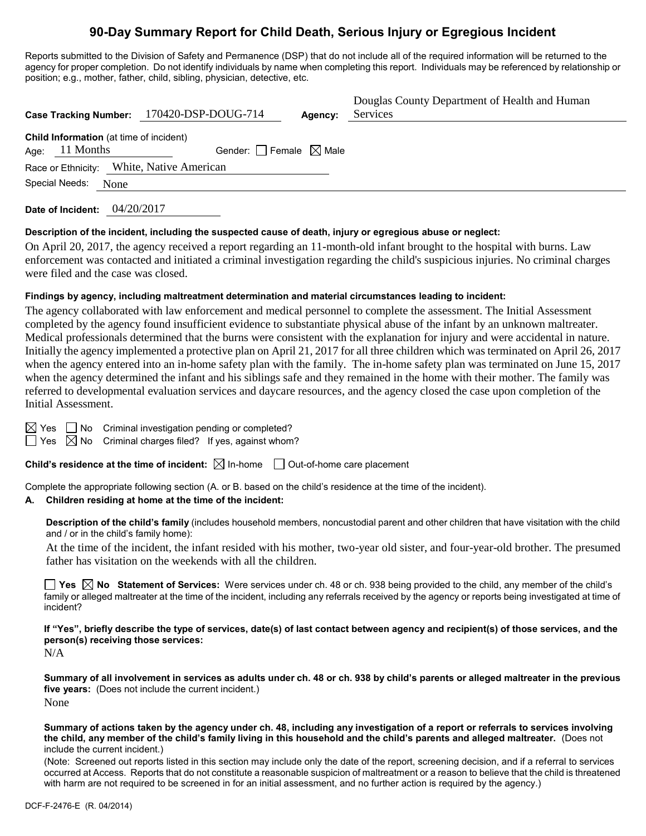# **90-Day Summary Report for Child Death, Serious Injury or Egregious Incident**

Reports submitted to the Division of Safety and Permanence (DSP) that do not include all of the required information will be returned to the agency for proper completion. Do not identify individuals by name when completing this report. Individuals may be referenced by relationship or position; e.g., mother, father, child, sibling, physician, detective, etc.

|                  |                                                | Case Tracking Number: 170420-DSP-DOUG-714 | Agency: | Douglas County Department of Health and Human<br>Services |
|------------------|------------------------------------------------|-------------------------------------------|---------|-----------------------------------------------------------|
| Age: $11$ Months | <b>Child Information</b> (at time of incident) | Gender: Female $\boxtimes$ Male           |         |                                                           |
| Special Needs:   | None                                           | Race or Ethnicity: White, Native American |         |                                                           |
|                  |                                                |                                           |         |                                                           |

**Date of Incident:** 04/20/2017

# **Description of the incident, including the suspected cause of death, injury or egregious abuse or neglect:**

On April 20, 2017, the agency received a report regarding an 11-month-old infant brought to the hospital with burns. Law enforcement was contacted and initiated a criminal investigation regarding the child's suspicious injuries. No criminal charges were filed and the case was closed.

# **Findings by agency, including maltreatment determination and material circumstances leading to incident:**

The agency collaborated with law enforcement and medical personnel to complete the assessment. The Initial Assessment completed by the agency found insufficient evidence to substantiate physical abuse of the infant by an unknown maltreater. Medical professionals determined that the burns were consistent with the explanation for injury and were accidental in nature. Initially the agency implemented a protective plan on April 21, 2017 for all three children which was terminated on April 26, 2017 when the agency entered into an in-home safety plan with the family. The in-home safety plan was terminated on June 15, 2017 when the agency determined the infant and his siblings safe and they remained in the home with their mother. The family was referred to developmental evaluation services and daycare resources, and the agency closed the case upon completion of the Initial Assessment.

 $\Box$  No Criminal investigation pending or completed?

 $\Box$  Yes  $\Box$  No Criminal charges filed? If yes, against whom?

**Child's residence at the time of incident:** ⊠ In-home □ Out-of-home care placement

Complete the appropriate following section (A. or B. based on the child's residence at the time of the incident).

# **A. Children residing at home at the time of the incident:**

**Description of the child's family** (includes household members, noncustodial parent and other children that have visitation with the child and / or in the child's family home):

At the time of the incident, the infant resided with his mother, two-year old sister, and four-year-old brother. The presumed father has visitation on the weekends with all the children.

**Yes No Statement of Services:** Were services under ch. 48 or ch. 938 being provided to the child, any member of the child's family or alleged maltreater at the time of the incident, including any referrals received by the agency or reports being investigated at time of incident?

**If "Yes", briefly describe the type of services, date(s) of last contact between agency and recipient(s) of those services, and the person(s) receiving those services:**

N/A

**Summary of all involvement in services as adults under ch. 48 or ch. 938 by child's parents or alleged maltreater in the previous five years:** (Does not include the current incident.) None

**Summary of actions taken by the agency under ch. 48, including any investigation of a report or referrals to services involving the child, any member of the child's family living in this household and the child's parents and alleged maltreater.** (Does not include the current incident.)

(Note: Screened out reports listed in this section may include only the date of the report, screening decision, and if a referral to services occurred at Access. Reports that do not constitute a reasonable suspicion of maltreatment or a reason to believe that the child is threatened with harm are not required to be screened in for an initial assessment, and no further action is required by the agency.)